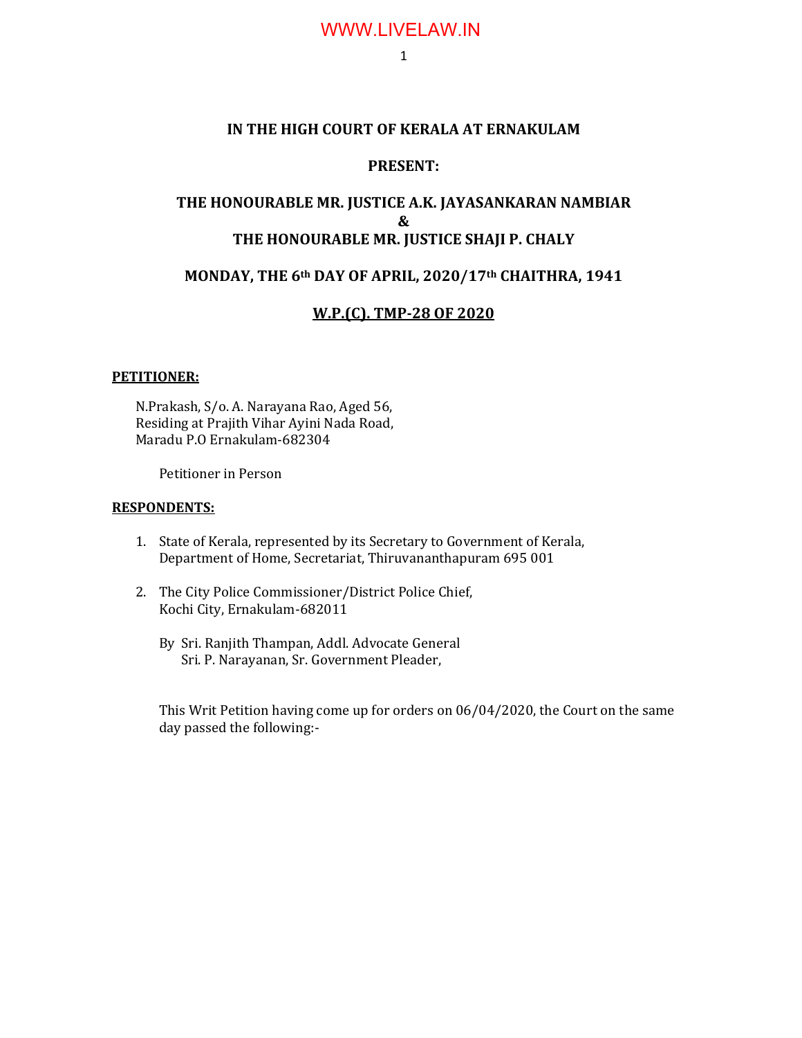### **IN THE HIGH COURT OF KERALA AT ERNAKULAM**

### **PRESENT:**

### **THE HONOURABLE MR. JUSTICE A.K. JAYASANKARAN NAMBIAR & THE HONOURABLE MR. JUSTICE SHAJI P. CHALY**

### **MONDAY, THE 6th DAY OF APRIL, 2020/17th CHAITHRA, 1941**

### **W.P.(C). TMP-28 OF 2020**

#### **PETITIONER:**

N.Prakash, S/o. A. Narayana Rao, Aged 56, Residing at Prajith Vihar Ayini Nada Road, Maradu P.O Ernakulam-682304

Petitioner in Person

#### **RESPONDENTS:**

- 1. State of Kerala, represented by its Secretary to Government of Kerala, Department of Home, Secretariat, Thiruvananthapuram 695 001
- 2. The City Police Commissioner/District Police Chief, Kochi City, Ernakulam-682011
	- By Sri. Ranjith Thampan, Addl. Advocate General Sri. P. Narayanan, Sr. Government Pleader,

This Writ Petition having come up for orders on 06/04/2020, the Court on the same day passed the following:-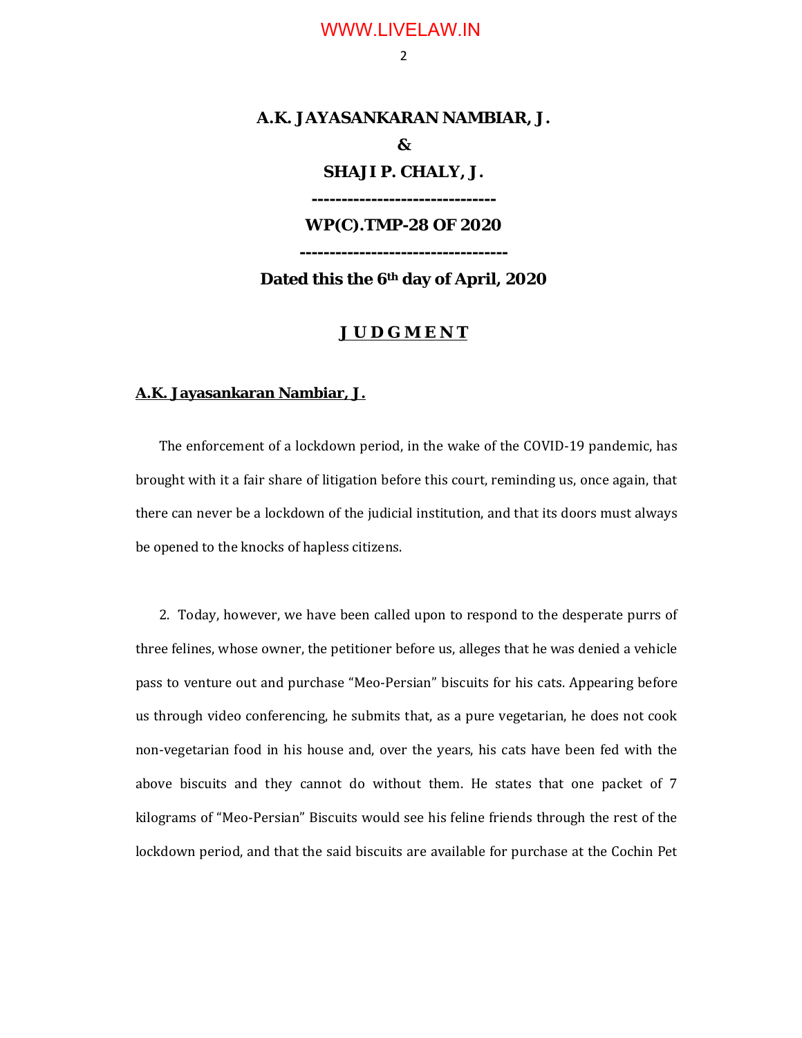2

# **A.K. JAYASANKARAN NAMBIAR, J. & SHAJI P. CHALY, J. ------------------------------- WP(C).TMP-28 OF 2020 -----------------------------------**

**Dated this the 6th day of April, 2020**

### **J U D G M E N T**

#### **A.K. Jayasankaran Nambiar, J.**

The enforcement of a lockdown period, in the wake of the COVID-19 pandemic, has brought with it a fair share of litigation before this court, reminding us, once again, that there can never be a lockdown of the judicial institution, and that its doors must always be opened to the knocks of hapless citizens.

2. Today, however, we have been called upon to respond to the desperate purrs of three felines, whose owner, the petitioner before us, alleges that he was denied a vehicle pass to venture out and purchase "Meo-Persian" biscuits for his cats. Appearing before us through video conferencing, he submits that, as a pure vegetarian, he does not cook non-vegetarian food in his house and, over the years, his cats have been fed with the above biscuits and they cannot do without them. He states that one packet of 7 kilograms of "Meo-Persian" Biscuits would see his feline friends through the rest of the lockdown period, and that the said biscuits are available for purchase at the Cochin Pet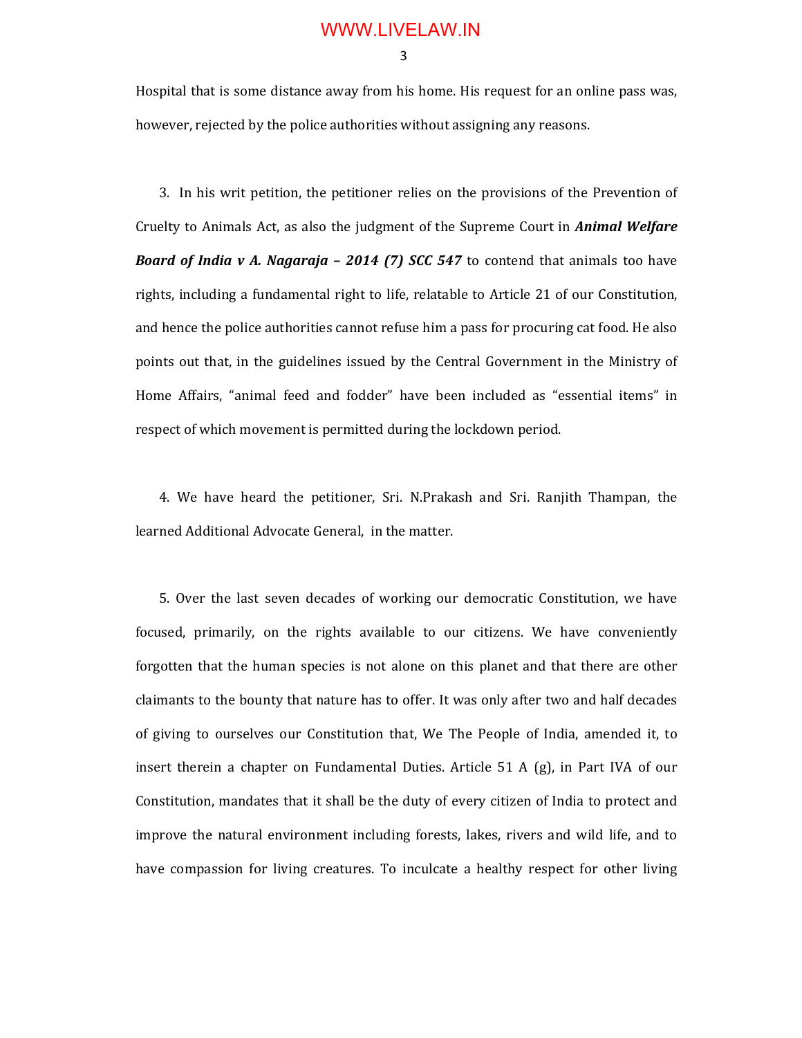3

Hospital that is some distance away from his home. His request for an online pass was, however, rejected by the police authorities without assigning any reasons.

3. In his writ petition, the petitioner relies on the provisions of the Prevention of Cruelty to Animals Act, as also the judgment of the Supreme Court in *Animal Welfare Board of India v A. Nagaraja – 2014 (7) SCC 547* to contend that animals too have rights, including a fundamental right to life, relatable to Article 21 of our Constitution, and hence the police authorities cannot refuse him a pass for procuring cat food. He also points out that, in the guidelines issued by the Central Government in the Ministry of Home Affairs, "animal feed and fodder" have been included as "essential items" in respect of which movement is permitted during the lockdown period.

4. We have heard the petitioner, Sri. N.Prakash and Sri. Ranjith Thampan, the learned Additional Advocate General, in the matter.

5. Over the last seven decades of working our democratic Constitution, we have focused, primarily, on the rights available to our citizens. We have conveniently forgotten that the human species is not alone on this planet and that there are other claimants to the bounty that nature has to offer. It was only after two and half decades of giving to ourselves our Constitution that, We The People of India, amended it, to insert therein a chapter on Fundamental Duties. Article 51 A (g), in Part IVA of our Constitution, mandates that it shall be the duty of every citizen of India to protect and improve the natural environment including forests, lakes, rivers and wild life, and to have compassion for living creatures. To inculcate a healthy respect for other living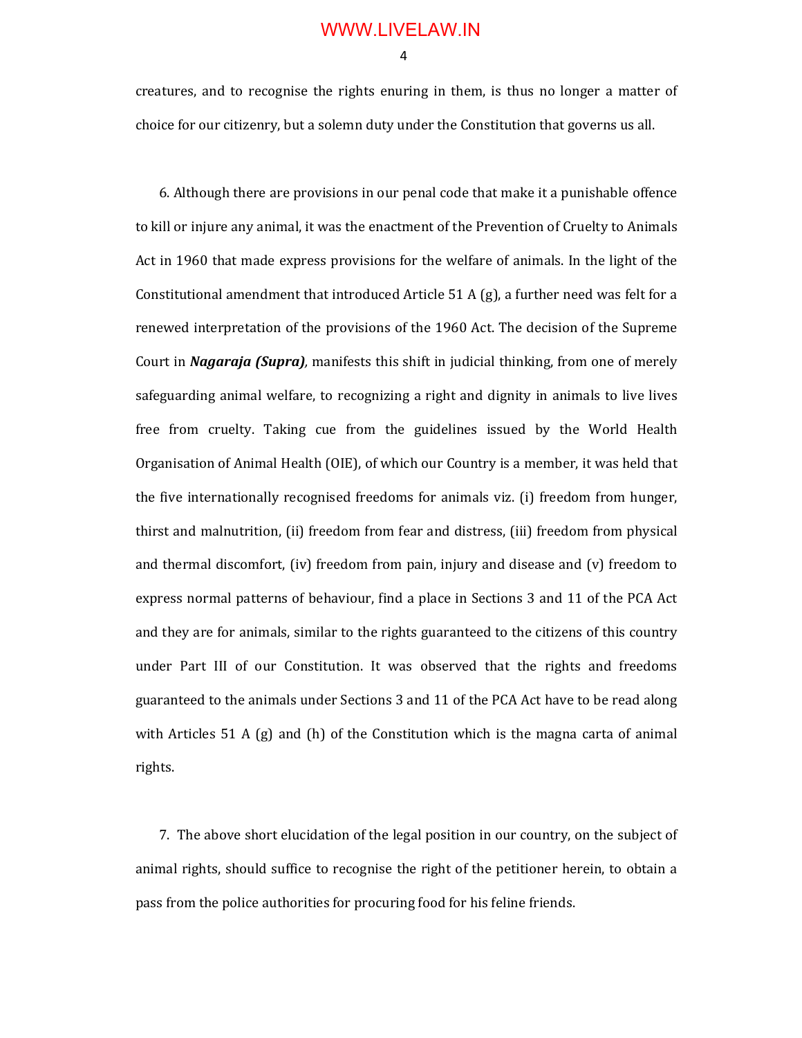4

creatures, and to recognise the rights enuring in them, is thus no longer a matter of choice for our citizenry, but a solemn duty under the Constitution that governs us all.

6. Although there are provisions in our penal code that make it a punishable offence to kill or injure any animal, it was the enactment of the Prevention of Cruelty to Animals Act in 1960 that made express provisions for the welfare of animals. In the light of the Constitutional amendment that introduced Article 51 A (g), a further need was felt for a renewed interpretation of the provisions of the 1960 Act. The decision of the Supreme Court in *Nagaraja (Supra),* manifests this shift in judicial thinking, from one of merely safeguarding animal welfare, to recognizing a right and dignity in animals to live lives free from cruelty. Taking cue from the guidelines issued by the World Health Organisation of Animal Health (OIE), of which our Country is a member, it was held that the five internationally recognised freedoms for animals viz. (i) freedom from hunger, thirst and malnutrition, (ii) freedom from fear and distress, (iii) freedom from physical and thermal discomfort, (iv) freedom from pain, injury and disease and (v) freedom to express normal patterns of behaviour, find a place in Sections 3 and 11 of the PCA Act and they are for animals, similar to the rights guaranteed to the citizens of this country under Part III of our Constitution. It was observed that the rights and freedoms guaranteed to the animals under Sections 3 and 11 of the PCA Act have to be read along with Articles 51 A (g) and (h) of the Constitution which is the magna carta of animal rights.

7. The above short elucidation of the legal position in our country, on the subject of animal rights, should suffice to recognise the right of the petitioner herein, to obtain a pass from the police authorities for procuring food for his feline friends.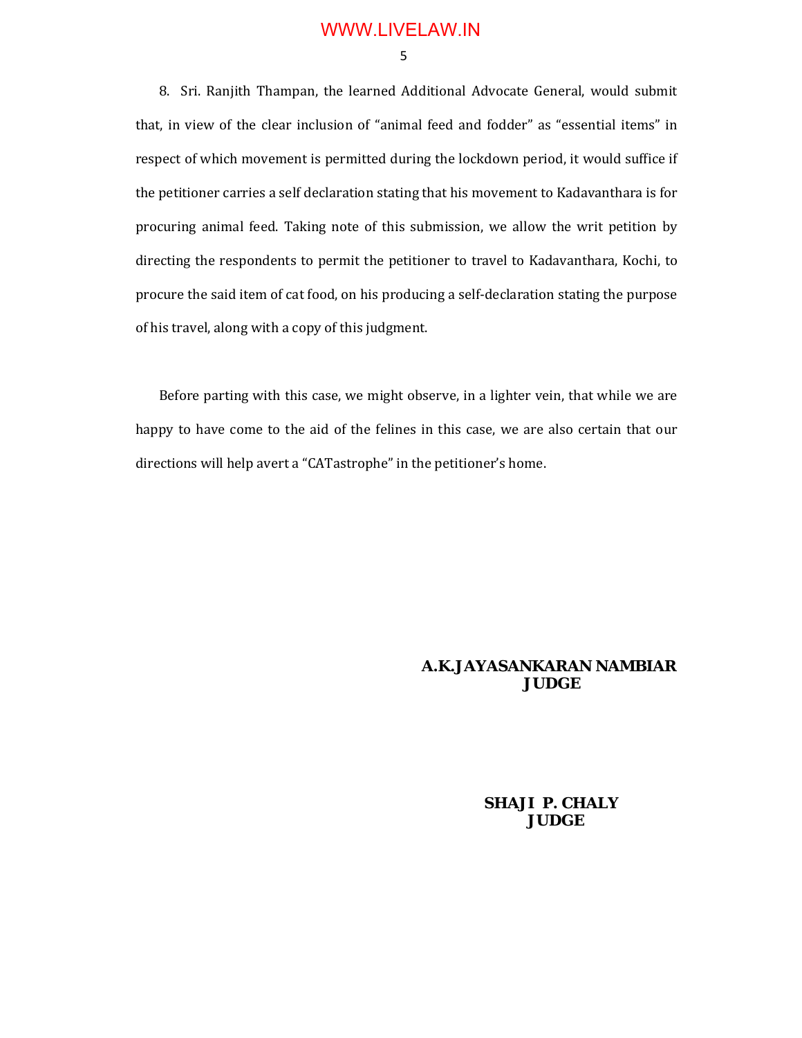5

8. Sri. Ranjith Thampan, the learned Additional Advocate General, would submit that, in view of the clear inclusion of "animal feed and fodder" as "essential items" in respect of which movement is permitted during the lockdown period, it would suffice if the petitioner carries a self declaration stating that his movement to Kadavanthara is for procuring animal feed. Taking note of this submission, we allow the writ petition by directing the respondents to permit the petitioner to travel to Kadavanthara, Kochi, to procure the said item of cat food, on his producing a self-declaration stating the purpose of his travel, along with a copy of this judgment.

Before parting with this case, we might observe, in a lighter vein, that while we are happy to have come to the aid of the felines in this case, we are also certain that our directions will help avert a "CATastrophe" in the petitioner's home.

#### **A.K.JAYASANKARAN NAMBIAR JUDGE**

### **SHAJI P. CHALY JUDGE**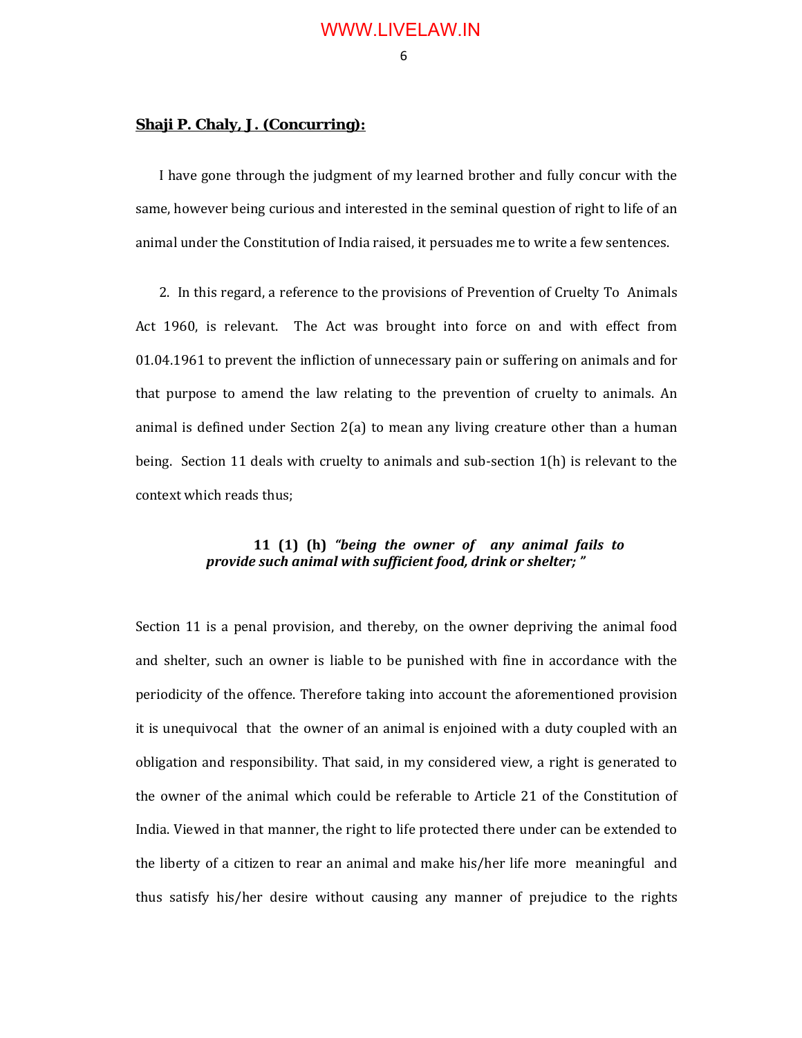#### 6

#### **Shaji P. Chaly, J. (Concurring):**

I have gone through the judgment of my learned brother and fully concur with the same, however being curious and interested in the seminal question of right to life of an animal under the Constitution of India raised, it persuades me to write a few sentences.

2. In this regard, a reference to the provisions of Prevention of Cruelty To Animals Act 1960, is relevant. The Act was brought into force on and with effect from 01.04.1961 to prevent the infliction of unnecessary pain or suffering on animals and for that purpose to amend the law relating to the prevention of cruelty to animals. An animal is defined under Section 2(a) to mean any living creature other than a human being. Section 11 deals with cruelty to animals and sub-section 1(h) is relevant to the context which reads thus;

### **11 (1) (h)** *"being the owner of any animal fails to provide such animal with sufficient food, drink or shelter; "*

Section 11 is a penal provision, and thereby, on the owner depriving the animal food and shelter, such an owner is liable to be punished with fine in accordance with the periodicity of the offence. Therefore taking into account the aforementioned provision it is unequivocal that the owner of an animal is enjoined with a duty coupled with an obligation and responsibility. That said, in my considered view, a right is generated to the owner of the animal which could be referable to Article 21 of the Constitution of India. Viewed in that manner, the right to life protected there under can be extended to the liberty of a citizen to rear an animal and make his/her life more meaningful and thus satisfy his/her desire without causing any manner of prejudice to the rights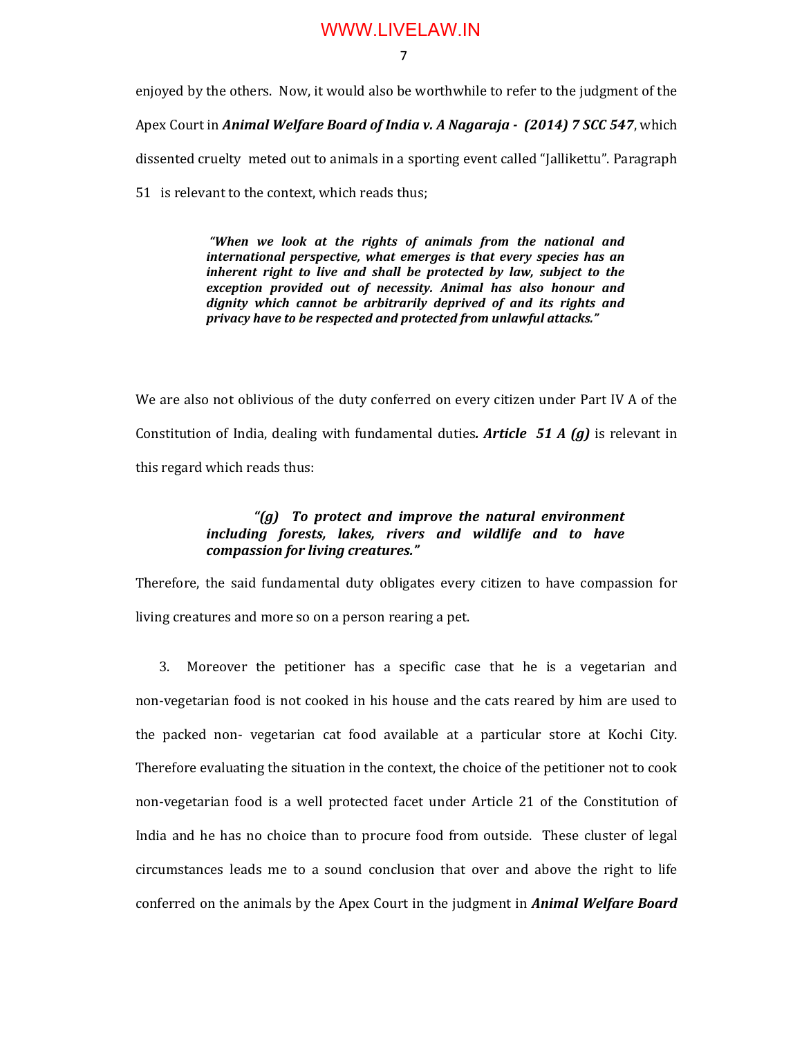7

enjoyed by the others. Now, it would also be worthwhile to refer to the judgment of the Apex Court in *Animal Welfare Board of India v. A Nagaraja - (2014) 7 SCC 547*, which dissented cruelty meted out to animals in a sporting event called "Jallikettu". Paragraph

51 is relevant to the context, which reads thus;

*"When we look at the rights of animals from the national and international perspective, what emerges is that every species has an inherent right to live and shall be protected by law, subject to the exception provided out of necessity. Animal has also honour and dignity which cannot be arbitrarily deprived of and its rights and privacy have to be respected and protected from unlawful attacks."*

We are also not oblivious of the duty conferred on every citizen under Part IV A of the Constitution of India, dealing with fundamental duties*. Article 51 A (g)* is relevant in this regard which reads thus:

### *"(g) To protect and improve the natural environment including forests, lakes, rivers and wildlife and to have compassion for living creatures."*

Therefore, the said fundamental duty obligates every citizen to have compassion for living creatures and more so on a person rearing a pet.

3. Moreover the petitioner has a specific case that he is a vegetarian and non-vegetarian food is not cooked in his house and the cats reared by him are used to the packed non- vegetarian cat food available at a particular store at Kochi City. Therefore evaluating the situation in the context, the choice of the petitioner not to cook non-vegetarian food is a well protected facet under Article 21 of the Constitution of India and he has no choice than to procure food from outside. These cluster of legal circumstances leads me to a sound conclusion that over and above the right to life conferred on the animals by the Apex Court in the judgment in *Animal Welfare Board*